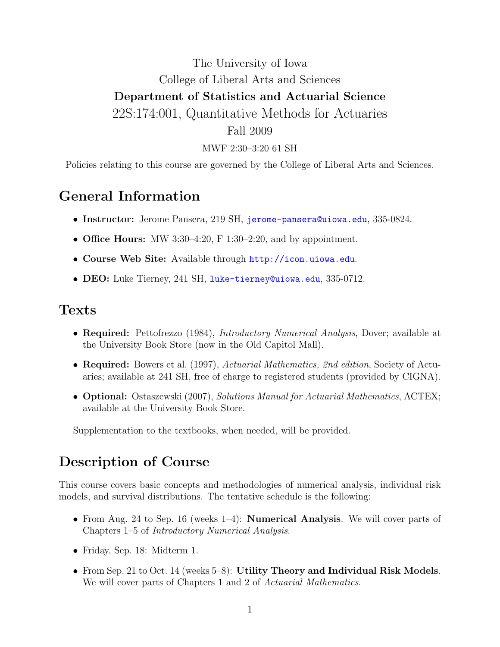## The University of Iowa College of Liberal Arts and Sciences Department of Statistics and Actuarial Science 22S:174:001, Quantitative Methods for Actuaries Fall 2009

MWF 2:30–3:20 61 SH

Policies relating to this course are governed by the College of Liberal Arts and Sciences.

#### General Information

- Instructor: Jerome Pansera, 219 SH, [jerome-pansera@uiowa.edu](mailto:jerome-pansera@uiowa.edu), 335-0824.
- Office Hours: MW 3:30-4:20, F 1:30-2:20, and by appointment.
- Course Web Site: Available through <http://icon.uiowa.edu>.
- DEO: Luke Tierney, 241 SH, [luke-tierney@uiowa.edu](mailto:luke-tierney@uiowa.edu), 335-0712.

#### Texts

- Required: Pettofrezzo (1984), *Introductory Numerical Analysis*, Dover; available at the University Book Store (now in the Old Capitol Mall).
- Required: Bowers et al. (1997), Actuarial Mathematics, 2nd edition, Society of Actuaries; available at 241 SH, free of charge to registered students (provided by CIGNA).
- **Optional:** Ostaszewski (2007), Solutions Manual for Actuarial Mathematics, ACTEX; available at the University Book Store.

Supplementation to the textbooks, when needed, will be provided.

#### Description of Course

This course covers basic concepts and methodologies of numerical analysis, individual risk models, and survival distributions. The tentative schedule is the following:

- From Aug. 24 to Sep. 16 (weeks 1–4): **Numerical Analysis**. We will cover parts of Chapters 1–5 of Introductory Numerical Analysis.
- Friday, Sep. 18: Midterm 1.
- From Sep. 21 to Oct. 14 (weeks 5–8): Utility Theory and Individual Risk Models. We will cover parts of Chapters 1 and 2 of Actuarial Mathematics.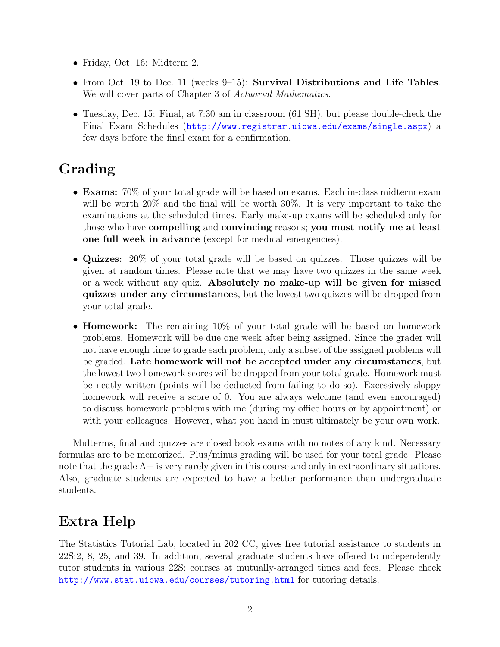- Friday, Oct. 16: Midterm 2.
- From Oct. 19 to Dec. 11 (weeks 9–15): Survival Distributions and Life Tables. We will cover parts of Chapter 3 of Actuarial Mathematics.
- Tuesday, Dec. 15: Final, at 7:30 am in classroom (61 SH), but please double-check the Final Exam Schedules (<http://www.registrar.uiowa.edu/exams/single.aspx>) a few days before the final exam for a confirmation.

# Grading

- Exams: 70% of your total grade will be based on exams. Each in-class midterm exam will be worth 20% and the final will be worth 30%. It is very important to take the examinations at the scheduled times. Early make-up exams will be scheduled only for those who have compelling and convincing reasons; you must notify me at least one full week in advance (except for medical emergencies).
- Quizzes: 20% of your total grade will be based on quizzes. Those quizzes will be given at random times. Please note that we may have two quizzes in the same week or a week without any quiz. Absolutely no make-up will be given for missed quizzes under any circumstances, but the lowest two quizzes will be dropped from your total grade.
- **Homework:** The remaining 10% of your total grade will be based on homework problems. Homework will be due one week after being assigned. Since the grader will not have enough time to grade each problem, only a subset of the assigned problems will be graded. Late homework will not be accepted under any circumstances, but the lowest two homework scores will be dropped from your total grade. Homework must be neatly written (points will be deducted from failing to do so). Excessively sloppy homework will receive a score of 0. You are always welcome (and even encouraged) to discuss homework problems with me (during my office hours or by appointment) or with your colleagues. However, what you hand in must ultimately be your own work.

Midterms, final and quizzes are closed book exams with no notes of any kind. Necessary formulas are to be memorized. Plus/minus grading will be used for your total grade. Please note that the grade A+ is very rarely given in this course and only in extraordinary situations. Also, graduate students are expected to have a better performance than undergraduate students.

# Extra Help

The Statistics Tutorial Lab, located in 202 CC, gives free tutorial assistance to students in 22S:2, 8, 25, and 39. In addition, several graduate students have offered to independently tutor students in various 22S: courses at mutually-arranged times and fees. Please check <http://www.stat.uiowa.edu/courses/tutoring.html> for tutoring details.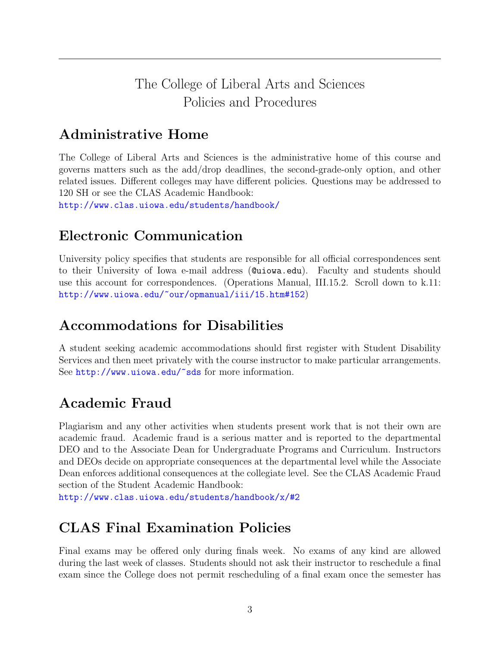## The College of Liberal Arts and Sciences Policies and Procedures

# Administrative Home

The College of Liberal Arts and Sciences is the administrative home of this course and governs matters such as the add/drop deadlines, the second-grade-only option, and other related issues. Different colleges may have different policies. Questions may be addressed to 120 SH or see the CLAS Academic Handbook:

<http://www.clas.uiowa.edu/students/handbook/>

## Electronic Communication

University policy specifies that students are responsible for all official correspondences sent to their University of Iowa e-mail address (@uiowa.edu). Faculty and students should use this account for correspondences. (Operations Manual, III.15.2. Scroll down to k.11: <http://www.uiowa.edu/~our/opmanual/iii/15.htm#152>)

#### Accommodations for Disabilities

A student seeking academic accommodations should first register with Student Disability Services and then meet privately with the course instructor to make particular arrangements. See [http://www.uiowa.edu/~sds](http://www.uiowa.edu/~sds/) for more information.

# Academic Fraud

Plagiarism and any other activities when students present work that is not their own are academic fraud. Academic fraud is a serious matter and is reported to the departmental DEO and to the Associate Dean for Undergraduate Programs and Curriculum. Instructors and DEOs decide on appropriate consequences at the departmental level while the Associate Dean enforces additional consequences at the collegiate level. See the CLAS Academic Fraud section of the Student Academic Handbook:

<http://www.clas.uiowa.edu/students/handbook/x/#2>

## CLAS Final Examination Policies

Final exams may be offered only during finals week. No exams of any kind are allowed during the last week of classes. Students should not ask their instructor to reschedule a final exam since the College does not permit rescheduling of a final exam once the semester has